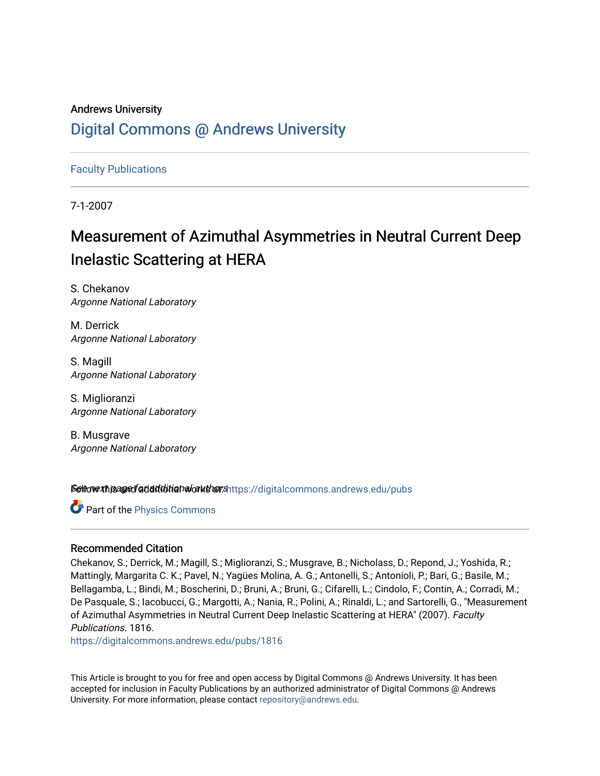## Andrews University [Digital Commons @ Andrews University](https://digitalcommons.andrews.edu/)

[Faculty Publications](https://digitalcommons.andrews.edu/pubs)

7-1-2007

# Measurement of Azimuthal Asymmetries in Neutral Current Deep Inelastic Scattering at HERA

S. Chekanov Argonne National Laboratory

M. Derrick Argonne National Laboratory

S. Magill Argonne National Laboratory

S. Miglioranzi Argonne National Laboratory

B. Musgrave Argonne National Laboratory

Settow the andfadditional authorshttps://digitalcommons.andrews.edu/pubs

Part of the [Physics Commons](http://network.bepress.com/hgg/discipline/193?utm_source=digitalcommons.andrews.edu%2Fpubs%2F1816&utm_medium=PDF&utm_campaign=PDFCoverPages)

### Recommended Citation

Chekanov, S.; Derrick, M.; Magill, S.; Miglioranzi, S.; Musgrave, B.; Nicholass, D.; Repond, J.; Yoshida, R.; Mattingly, Margarita C. K.; Pavel, N.; Yagües Molina, A. G.; Antonelli, S.; Antonioli, P.; Bari, G.; Basile, M.; Bellagamba, L.; Bindi, M.; Boscherini, D.; Bruni, A.; Bruni, G.; Cifarelli, L.; Cindolo, F.; Contin, A.; Corradi, M.; De Pasquale, S.; Iacobucci, G.; Margotti, A.; Nania, R.; Polini, A.; Rinaldi, L.; and Sartorelli, G., "Measurement of Azimuthal Asymmetries in Neutral Current Deep Inelastic Scattering at HERA" (2007). Faculty Publications. 1816.

[https://digitalcommons.andrews.edu/pubs/1816](https://digitalcommons.andrews.edu/pubs/1816?utm_source=digitalcommons.andrews.edu%2Fpubs%2F1816&utm_medium=PDF&utm_campaign=PDFCoverPages) 

This Article is brought to you for free and open access by Digital Commons @ Andrews University. It has been accepted for inclusion in Faculty Publications by an authorized administrator of Digital Commons @ Andrews University. For more information, please contact [repository@andrews.edu](mailto:repository@andrews.edu).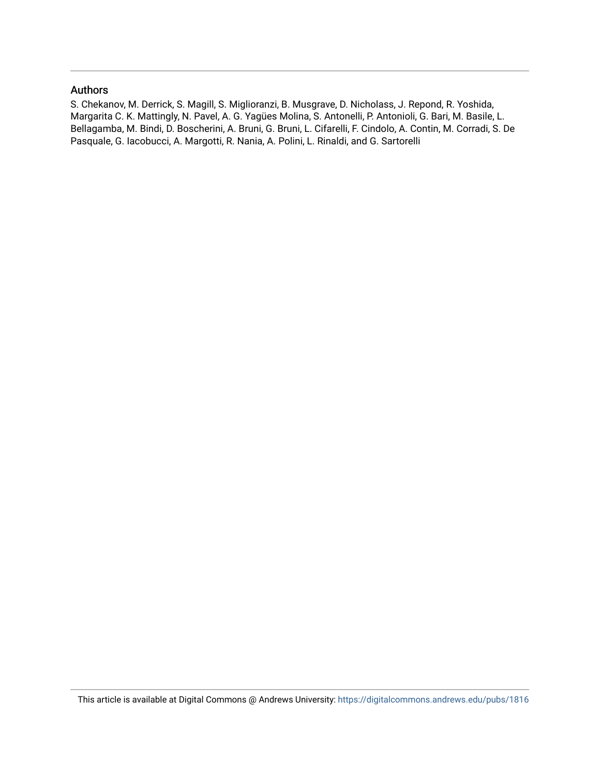#### Authors

S. Chekanov, M. Derrick, S. Magill, S. Miglioranzi, B. Musgrave, D. Nicholass, J. Repond, R. Yoshida, Margarita C. K. Mattingly, N. Pavel, A. G. Yagües Molina, S. Antonelli, P. Antonioli, G. Bari, M. Basile, L. Bellagamba, M. Bindi, D. Boscherini, A. Bruni, G. Bruni, L. Cifarelli, F. Cindolo, A. Contin, M. Corradi, S. De Pasquale, G. Iacobucci, A. Margotti, R. Nania, A. Polini, L. Rinaldi, and G. Sartorelli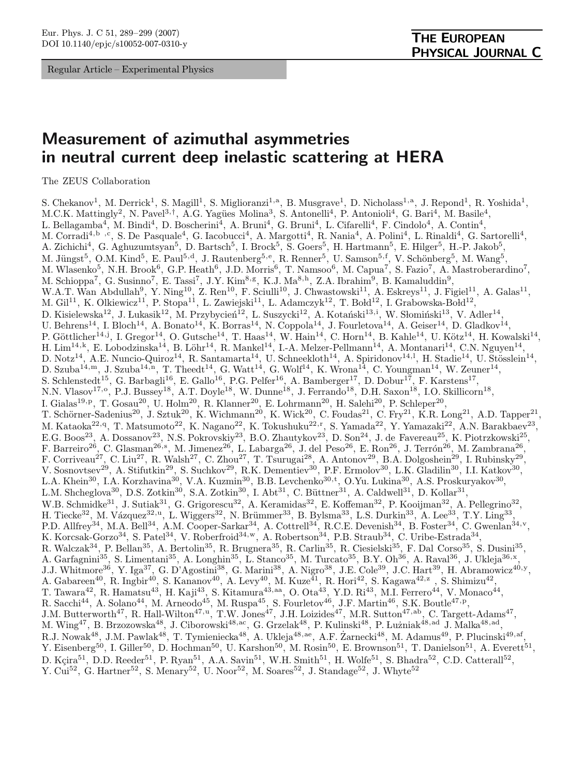Regular Article – Experimental Physics

## Measurement of azimuthal asymmetries in neutral current deep inelastic scattering at HERA

The ZEUS Collaboration

S. Chekanov<sup>1</sup>, M. Derrick<sup>1</sup>, S. Magill<sup>1</sup>, S. Miglioranzi<sup>1,a</sup>, B. Musgrave<sup>1</sup>, D. Nicholass<sup>1,a</sup>, J. Repond<sup>1</sup>, R. Yoshida<sup>1</sup>, M.C.K. Mattingly<sup>2</sup>, N. Pavel<sup>3,†</sup>, A.G. Yagües Molina<sup>3</sup>, S. Antonelli<sup>4</sup>, P. Antonioli<sup>4</sup>, G. Bari<sup>4</sup>, M. Basile<sup>4</sup>, L. Bellagamba<sup>4</sup>, M. Bindi<sup>4</sup>, D. Boscherini<sup>4</sup>, A. Bruni<sup>4</sup>, G. Bruni<sup>4</sup>, L. Cifarelli<sup>4</sup>, F. Cindolo<sup>4</sup>, A. Contin<sup>4</sup>, M. Corradi<sup>4,b</sup>, S. De Pasquale<sup>4</sup>, G. Iacobucci<sup>4</sup>, A. Margotti<sup>4</sup>, R. Nania<sup>4</sup>, A. Polini<sup>4</sup>, L. Rinaldi<sup>4</sup>, G. Sartorelli<sup>4</sup>, A. Zichichi<sup>4</sup>, G. Aghuzumtsyan<sup>5</sup>, D. Bartsch<sup>5</sup>, I. Brock<sup>5</sup>, S. Goers<sup>5</sup>, H. Hartmann<sup>5</sup>, E. Hilger<sup>5</sup>, H.-P. Jakob<sup>5</sup>, M. Jüngst<sup>5</sup>, O.M. Kind<sup>5</sup>, E. Paul<sup>5,d</sup>, J. Rautenberg<sup>5,e</sup>, R. Renner<sup>5</sup>, U. Samson<sup>5,f</sup>, V. Schönberg<sup>5</sup>, M. Wang<sup>5</sup>, M. Wlasenko<sup>5</sup>, N.H. Brook<sup>6</sup>, G.P. Heath<sup>6</sup>, J.D. Morris<sup>6</sup>, T. Namsoo<sup>6</sup>, M. Capua<sup>7</sup>, S. Fazio<sup>7</sup>, A. Mastroberardino<sup>7</sup>, M. Schioppa<sup>7</sup>, G. Susinno<sup>7</sup>, E. Tassi<sup>7</sup>, J.Y. Kim<sup>8,g</sup>, K.J. Ma<sup>8,h</sup>, Z.A. Ibrahim<sup>9</sup>, B. Kamaluddin<sup>9</sup>, W.A.T. Wan Abdullah<sup>9</sup>, Y. Ning<sup>10</sup>, Z. Ren<sup>10</sup>, F. Sciulli<sup>10</sup>, J. Chwastowski<sup>11</sup>, A. Eskreys<sup>11</sup>, J. Figiel<sup>11</sup>, A. Galas<sup>11</sup>, M.  $\text{Gil}^{11}$ , K. Olkiewicz<sup>11</sup>, P. Stopa<sup>11</sup>, L. Zawiejski<sup>11</sup>, L. Adamczyk<sup>12</sup>, T. Bołd<sup>12</sup>, I. Grabowska-Bold<sup>12</sup>, D. Kisielewska<sup>12</sup>, J. Lukasik<sup>12</sup>, M. Przybycień<sup>12</sup>, L. Suszycki<sup>12</sup>, A. Kotański<sup>13,i</sup>, W. Słomiński<sup>13</sup>, V. Adler<sup>14</sup>, U. Behrens<sup>14</sup>, I. Bloch<sup>14</sup>, A. Bonato<sup>14</sup>, K. Borras<sup>14</sup>, N. Coppola<sup>14</sup>, J. Fourletova<sup>14</sup>, A. Geiser<sup>14</sup>, D. Gladkov<sup>14</sup>, P. Göttlicher<sup>14,j</sup>, I. Gregor<sup>14</sup>, O. Gutsche<sup>14</sup>, T. Haas<sup>14</sup>, W. Hain<sup>14</sup>, C. Horn<sup>14</sup>, B. Kahle<sup>14</sup>, U. Kötz<sup>14</sup>, H. Kowalski<sup>14</sup>, H. Lim<sup>14,k</sup>, E. Lobodzinska<sup>14</sup>, B. Löhr<sup>14</sup>, R. Mankel<sup>14</sup>, I.-A. Melzer-Pellmann<sup>14</sup>, A. Montanari<sup>14</sup>, C.N. Nguyen<sup>14</sup>, D. Notz<sup>14</sup>, A.E. Nuncio-Quiroz<sup>14</sup>, R. Santamarta<sup>14</sup>, U. Schneekloth<sup>14</sup>, A. Spiridonov<sup>14,1</sup>, H. Stadie<sup>14</sup>, U. Stösslein<sup>14</sup>, D. Szuba<sup>14,m</sup>, J. Szuba<sup>14,n</sup>, T. Theedt<sup>14</sup>, G. Watt<sup>14</sup>, G. Wolf<sup>14</sup>, K. Wrona<sup>14</sup>, C. Youngman<sup>14</sup>, W. Zeuner<sup>14</sup>, S. Schlenstedt<sup>15</sup>, G. Barbagli<sup>16</sup>, E. Gallo<sup>16</sup>, P.G. Pelfer<sup>16</sup>, A. Bamberger<sup>17</sup>, D. Dobur<sup>17</sup>, F. Karstens<sup>17</sup>, N.N. Vlasov<sup>17,</sup><sup>o</sup>, P.J. Bussey<sup>18</sup>, A.T. Doyle<sup>18</sup>, W. Dunne<sup>18</sup>, J. Ferrando<sup>18</sup>, D.H. Saxon<sup>18</sup>, I.O. Skillicorn<sup>18</sup>, I. Gialas<sup>19,p</sup>, T. Gosau<sup>20</sup>, U. Holm<sup>20</sup>, R. Klanner<sup>20</sup>, E. Lohrmann<sup>20</sup>, H. Salehi<sup>20</sup>, P. Schleper<sup>20</sup>, T. Schörner-Sadenius<sup>20</sup>, J. Sztuk<sup>20</sup>, K. Wichmann<sup>20</sup>, K. Wick<sup>20</sup>, C. Foudas<sup>21</sup>, C. Fry<sup>21</sup>, K.R. Long<sup>21</sup>, A.D. Tapper<sup>21</sup>, M. Kataoka<sup>22,q</sup>, T. Matsumoto<sup>22</sup>, K. Nagano<sup>22</sup>, K. Tokushuku<sup>22,r</sup>, S. Yamada<sup>22</sup>, Y. Yamazaki<sup>22</sup>, A.N. Barakbaev<sup>23</sup>, E.G. Boos<sup>23</sup>, A. Dossanov<sup>23</sup>, N.S. Pokrovskiy<sup>23</sup>, B.O. Zhautykov<sup>23</sup>, D. Son<sup>24</sup>, J. de Favereau<sup>25</sup>, K. Piotrzkowski<sup>25</sup>, F. Barreiro<sup>26</sup>, C. Glasman<sup>26,s</sup>, M. Jimenez<sup>26</sup>, L. Labarga<sup>26</sup>, J. del Peso<sup>26</sup>, E. Ron<sup>26</sup>, J. Terrón<sup>26</sup>, M. Zambrana<sup>26</sup>, F. Corriveau<sup>27</sup>, C. Liu<sup>27</sup>, R. Walsh<sup>27</sup>, C. Zhou<sup>27</sup>, T. Tsurugai<sup>28</sup>, A. Antonov<sup>29</sup>, B.A. Dolgoshein<sup>29</sup>, I. Rubinsky<sup>29</sup>, V. Sosnovtsev<sup>29</sup>, A. Stifutkin<sup>29</sup>, S. Suchkov<sup>29</sup>, R.K. Dementiev<sup>30</sup>, P.F. Ermolov<sup>30</sup>, L.K. Gladilin<sup>30</sup>, I.I. Katkov<sup>30</sup>, L.A. Khein<sup>30</sup>, I.A. Korzhavina<sup>30</sup>, V.A. Kuzmin<sup>30</sup>, B.B. Levchenko<sup>30,t</sup>, O.Yu. Lukina<sup>30</sup>, A.S. Proskuryakov<sup>30</sup>, L.M. Shcheglova<sup>30</sup>, D.S. Zotkin<sup>30</sup>, S.A. Zotkin<sup>30</sup>, I. Abt<sup>31</sup>, C. Büttner<sup>31</sup>, A. Caldwell<sup>31</sup>, D. Kollar<sup>31</sup>, W.B. Schmidke<sup>31</sup>, J. Sutiak<sup>31</sup>, G. Grigorescu<sup>32</sup>, A. Keramidas<sup>32</sup>, E. Koffeman<sup>32</sup>, P. Kooijman<sup>32</sup>, A. Pellegrino<sup>32</sup>, H. Tiecke $^{32}$ , M. Vázquez $^{32,u}$ , L. Wiggers $^{32}$ , N. Brümmer $^{33}$ , B. Bylsma $^{33}$ , L.S. Durkin $^{33}$ , A. Lee $^{33}$ , T.Y. Ling $^{33}$ , P.D. Allfrey<sup>34</sup>, M.A. Bell<sup>34</sup>, A.M. Cooper-Sarkar<sup>34</sup>, A. Cottrell<sup>34</sup>, R.C.E. Devenish<sup>34</sup>, B. Foster<sup>34</sup>, C. Gwenlan<sup>34,v</sup>, K. Korcsak-Gorzo<sup>34</sup>, S. Patel<sup>34</sup>, V. Roberfroid<sup>34,w</sup>, A. Robertson<sup>34</sup>, P.B. Straub<sup>34</sup>, C. Uribe-Estrada<sup>34</sup>, R. Walczak<sup>34</sup>, P. Bellan<sup>35</sup>, A. Bertolin<sup>35</sup>, R. Brugnera<sup>35</sup>, R. Carlin<sup>35</sup>, R. Ciesielski<sup>35</sup>, F. Dal Corso<sup>35</sup>, S. Dusini<sup>35</sup>, A. Garfagnini<sup>35</sup>, S. Limentani<sup>35</sup>, A. Longhin<sup>35</sup>, L. Stanco<sup>35</sup>, M. Turcato<sup>35</sup>, B.Y. Oh<sup>36</sup>, A. Raval<sup>36</sup>, J. Ukleja<sup>36,x</sup>, J.J. Whitmore<sup>36</sup>, Y. Iga<sup>37</sup>, G. D'Agostini<sup>38</sup>, G. Marini<sup>38</sup>, A. Nigro<sup>38</sup>, J.E. Cole<sup>39</sup>, J.C. Hart<sup>39</sup>, H. Abramowicz<sup>40,y</sup>, A. Gabareen<sup>40</sup>, R. Ingbir<sup>40</sup>, S. Kananov<sup>40</sup>, A. Levy<sup>40</sup>, M. Kuze<sup>41</sup>, R. Hori<sup>42</sup>, S. Kagawa<sup>42,z</sup>, S. Shimizu<sup>42</sup>, T. Tawara<sup>42</sup>, R. Hamatsu<sup>43</sup>, H. Kaji<sup>43</sup>, S. Kitamura<sup>43,aa</sup>, O. Ota<sup>43</sup>, Y.D. Ri<sup>43</sup>, M.I. Ferrero<sup>44</sup>, V. Monaco<sup>44</sup>, R. Sacchi<sup>44</sup>, A. Solano<sup>44</sup>, M. Arneodo<sup>45</sup>, M. Ruspa<sup>45</sup>, S. Fourletov<sup>46</sup>, J.F. Martin<sup>46</sup>, S.K. Boutle<sup>47, p</sup>, J.M. Butterworth<sup>47</sup>, R. Hall-Wilton<sup>47,u</sup>, T.W. Jones<sup>47</sup>, J.H. Loizides<sup>47</sup>, M.R. Sutton<sup>47,ab</sup>, C. Targett-Adams<sup>47</sup>, M. Wing<sup>47</sup>, B. Brzozowska<sup>48</sup>, J. Ciborowski<sup>48,ac</sup>, G. Grzelak<sup>48</sup>, P. Kulinski<sup>48</sup>, P. Luzniak<sup>48,ad</sup> J. Malka<sup>48,ad</sup>, R.J. Nowak<sup>48</sup>, J.M. Pawlak<sup>48</sup>, T. Tymieniecka<sup>48</sup>, A. Ukleja<sup>48,ae</sup>, A.F. Zarnecki<sup>48</sup>, M. Adamus<sup>49</sup>, P. Plucinski<sup>49,af</sup>, Y. Eisenberg<sup>50</sup>, I. Giller<sup>50</sup>, D. Hochman<sup>50</sup>, U. Karshon<sup>50</sup>, M. Rosin<sup>50</sup>, E. Brownson<sup>51</sup>, T. Danielson<sup>51</sup>, A. Everett<sup>51</sup>, D. Kçira<sup>51</sup>, D.D. Reeder<sup>51</sup>, P. Ryan<sup>51</sup>, A.A. Savin<sup>51</sup>, W.H. Smith<sup>51</sup>, H. Wolfe<sup>51</sup>, S. Bhadra<sup>52</sup>, C.D. Catterall<sup>52</sup>, Y. Cui<sup>52</sup>, G. Hartner<sup>52</sup>, S. Menary<sup>52</sup>, U. Noor<sup>52</sup>, M. Soares<sup>52</sup>, J. Standage<sup>52</sup>, J. Whyte<sup>52</sup>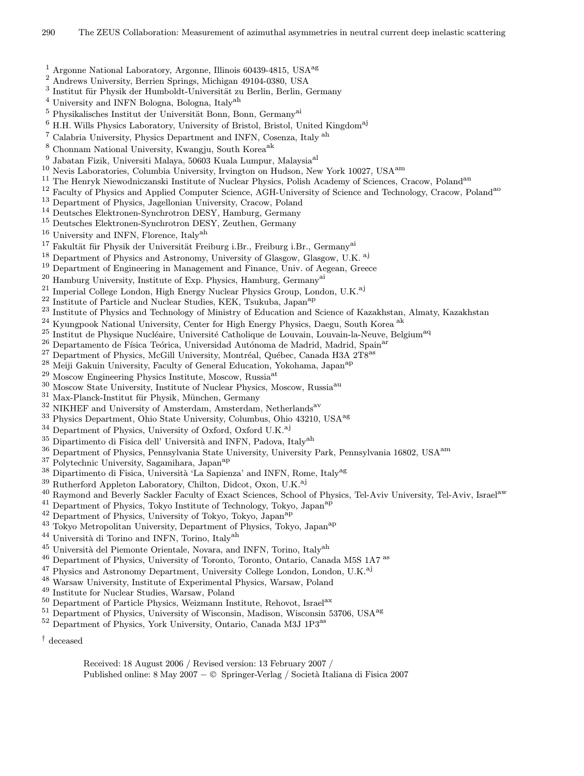- <sup>1</sup> Argonne National Laboratory, Argonne, Illinois 60439-4815, USA<sup>ag</sup>
- <sup>2</sup> Andrews University, Berrien Springs, Michigan 49104-0380, USA
- $^3$ Institut für Physik der Humboldt-Universität zu Berlin, Berlin, Germany
- <sup>4</sup> University and INFN Bologna, Bologna, Italyah
- $^5$  Physikalisches Institut der Universität Bonn, Bonn, Germany<sup>ai</sup>
- $6$  H.H. Wills Physics Laboratory, University of Bristol, Bristol, United Kingdom<sup>aj</sup>
- <sup>7</sup> Calabria University, Physics Department and INFN, Cosenza, Italy ah
- $\frac{8}{9}$  Chonnam National University, Kwangju, South Korea<sup>ak</sup><br> $\frac{9}{9}$  Jabatan Fiail, Universiti Malaya, 50602 Kuala Lumpur
- $^{9}$  Jabatan Fizik, Universiti Malaya, 50603 Kuala Lumpur, Malaysia<sup>al 10</sup> Novis Lebensteries, Columbia University Iminester on Hydeon, No
- <sup>10</sup> Nevis Laboratories, Columbia University, Irvington on Hudson, New York 10027, USAam
- <sup>11</sup> The Henryk Niewodniczanski Institute of Nuclear Physics, Polish Academy of Sciences, Cracow, Poland<sup>an</sup>
- <sup>12</sup> Faculty of Physics and Applied Computer Science, AGH-University of Science and Technology, Cracow, Poland<sup>ao</sup>
- <sup>13</sup> Department of Physics, Jagellonian University, Cracow, Poland
- <sup>14</sup> Deutsches Elektronen-Synchrotron DESY, Hamburg, Germany<br><sup>15</sup> Deutsches Elektronen-Synchrotron DESY, Zeuthen, Germany
- <sup>15</sup> Deutsches Elektronen-Synchrotron DESY, Zeuthen, Germany
- <sup>16</sup> University and INFN, Florence, Italy<sup>ah</sup>
- Fakultät für Physik der Universität Freiburg i.Br., Freiburg i.Br., Germany<sup>ai</sup>
- <sup>18</sup> Department of Physics and Astronomy, University of Glasgow, Glasgow, U.K.<sup>aj</sup>
- <sup>19</sup> Department of Engineering in Management and Finance, Univ. of Aegean, Greece
- $^{20}$  Hamburg University, Institute of Exp. Physics, Hamburg, Germany<sup>ai</sup>
- <sup>21</sup> Imperial College London, High Energy Nuclear Physics Group, London, U.K.<sup>aj</sup><br><sup>22</sup> Institute of Particle and Nuclear Studies, KEK, Teuluba, Japan<sup>ap</sup>
- <sup>22</sup> Institute of Particle and Nuclear Studies, KEK, Tsukuba, Japan<sup>ap</sup><br><sup>23</sup> Institute of Physics and Technology of Ministry of Education and
- <sup>23</sup> Institute of Physics and Technology of Ministry of Education and Science of Kazakhstan, Almaty, Kazakhstan<br><sup>24</sup> Kyungpook National University Center for High Energy Physics, Daegu, South Korea <sup>ak</sup>
- <sup>24</sup> Kyungpook National University, Center for High Energy Physics, Daegu, South Korea <sup>ak</sup>
- Institut de Physique Nucléaire, Université Catholique de Louvain, Louvain-la-Neuve, Belgium<sup>aq</sup>
- <sup>26</sup> Departamento de Física Teórica, Universidad Autónoma de Madrid, Madrid, Spain<sup>ar</sup>
- Department of Physics, McGill University, Montréal, Québec, Canada H3A 2T8<sup>as</sup>
- <sup>28</sup> Meiji Gakuin University, Faculty of General Education, Yokohama, Japan<sup>ap</sup>
- Moscow Engineering Physics Institute, Moscow, Russia<sup>at</sup>
- <sup>30</sup> Moscow State University, Institute of Nuclear Physics, Moscow, Russia<sup>au</sup>
- $31$  Max-Planck-Institut für Physik, München, Germany
- $32$  NIKHEF and University of Amsterdam, Amsterdam, Netherlands<sup>av</sup>
- <sup>33</sup> Physics Department, Ohio State University, Columbus, Ohio 43210, USA<sup>ag 34</sup> Department of Physics University of Oxford, Oxford U.K.<sup>aj</sup>
- Department of Physics, University of Oxford, Oxford U.K.<sup>aj</sup>
- $^{35}$  Dipartimento di Fisica dell' Università and INFN, Padova, Italy<sup>ah</sup>
- <sup>36</sup> Department of Physics, Pennsylvania State University, University Park, Pennsylvania 16802, USA<sup>am</sup><br><sup>37</sup> Polytechnic University Sagamihara, Japan<sup>ap</sup>
- $37$  Polytechnic University, Sagamihara, Japan<sup>ap</sup>
- Dipartimento di Fisica, Università 'La Sapienza' and INFN, Rome, Italy<sup>ag</sup>
- <sup>39</sup> Rutherford Appleton Laboratory, Chilton, Didcot, Oxon, U.K.<sup>aj</sup>
- <sup>40</sup> Raymond and Beverly Sackler Faculty of Exact Sciences, School of Physics, Tel-Aviv University, Tel-Aviv, Israel<sup>aw</sup>
- <sup>41</sup> Department of Physics, Tokyo Institute of Technology, Tokyo, Japan<sup>ap</sup>
- <sup>42</sup> Department of Physics, University of Tokyo, Tokyo, Japan<sup>ap</sup>
- <sup>43</sup> Tokyo Metropolitan University, Department of Physics, Tokyo, Japanap
- $^{44}$  Università di Torino and INFN, Torino, Italy<sup>ah</sup>
- $^{45}$ Università del Piemonte Orientale, Novara, and INFN, Torino, Italy<sup>ah</sup>
- <sup>46</sup> Department of Physics, University of Toronto, Toronto, Ontario, Canada M5S 1A7<sup>as</sup>
- <sup>47</sup> Physics and Astronomy Department, University College London, London, U.K.<sup>aj</sup><br><sup>48</sup> Warson: University Institute of Europinental Physics, Warson: Poland
- <sup>48</sup> Warsaw University, Institute of Experimental Physics, Warsaw, Poland
- <sup>49</sup> Institute for Nuclear Studies, Warsaw, Poland
- <sup>50</sup> Department of Particle Physics, Weizmann Institute, Rehovot, Israel<sup>ax</sup>
- <sup>51</sup> Department of Physics, University of Wisconsin, Madison, Wisconsin 53706, USA<sup>ag</sup>
- 52 Department of Physics, York University, Ontario, Canada M3J 1P3<sup>as</sup>

† deceased

- Received: 18 August 2006 / Revised version: 13 February 2007 /
- Published online: 8 May 2007 − © Springer-Verlag / Societ`a Italiana di Fisica 2007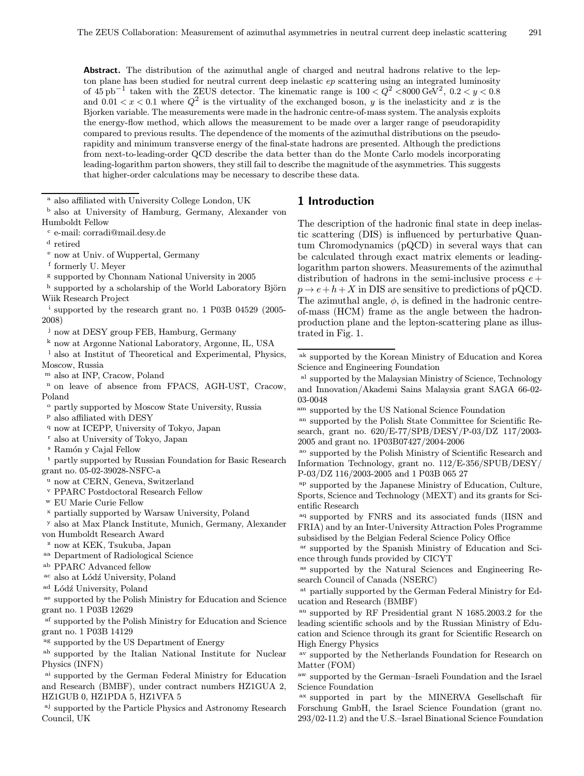Abstract. The distribution of the azimuthal angle of charged and neutral hadrons relative to the lepton plane has been studied for neutral current deep inelastic  $ep$  scattering using an integrated luminosity of  $45 \text{ pb}^{-1}$  taken with the ZEUS detector. The kinematic range is  $100 < Q^2 < 8000 \text{ GeV}^2$ ,  $0.2 < y < 0.8$ and  $0.01 < x < 0.1$  where  $Q^2$  is the virtuality of the exchanged boson, y is the inelasticity and x is the Bjorken variable. The measurements were made in the hadronic centre-of-mass system. The analysis exploits the energy-flow method, which allows the measurement to be made over a larger range of pseudorapidity compared to previous results. The dependence of the moments of the azimuthal distributions on the pseudorapidity and minimum transverse energy of the final-state hadrons are presented. Although the predictions from next-to-leading-order QCD describe the data better than do the Monte Carlo models incorporating leading-logarithm parton showers, they still fail to describe the magnitude of the asymmetries. This suggests that higher-order calculations may be necessary to describe these data.

<sup>a</sup> also affiliated with University College London, UK

- <sup>b</sup> also at University of Hamburg, Germany, Alexander von Humboldt Fellow
- <sup>c</sup> e-mail: corradi@mail.desy.de
- <sup>d</sup> retired
- <sup>e</sup> now at Univ. of Wuppertal, Germany
- <sup>f</sup> formerly U. Meyer
- <sup>g</sup> supported by Chonnam National University in 2005
- h supported by a scholarship of the World Laboratory Björn Wiik Research Project
- <sup>i</sup> supported by the research grant no. 1 P03B 04529 (2005- 2008)

<sup>j</sup> now at DESY group FEB, Hamburg, Germany

<sup>k</sup> now at Argonne National Laboratory, Argonne, IL, USA

- also at Institut of Theoretical and Experimental, Physics, Moscow, Russia
- <sup>m</sup> also at INP, Cracow, Poland
- <sup>n</sup> on leave of absence from FPACS, AGH-UST, Cracow, Poland
- <sup>o</sup> partly supported by Moscow State University, Russia
- <sup>p</sup> also affiliated with DESY
- <sup>q</sup> now at ICEPP, University of Tokyo, Japan
- <sup>r</sup> also at University of Tokyo, Japan
- <sup>s</sup> Ramón y Cajal Fellow

partly supported by Russian Foundation for Basic Research grant no. 05-02-39028-NSFC-a

- <sup>u</sup> now at CERN, Geneva, Switzerland
- <sup>v</sup> PPARC Postdoctoral Research Fellow
- <sup>w</sup> EU Marie Curie Fellow
- partially supported by Warsaw University, Poland
- <sup>y</sup> also at Max Planck Institute, Munich, Germany, Alexander von Humboldt Research Award

<sup>z</sup> now at KEK, Tsukuba, Japan

- aa Department of Radiological Science
- ab PPARC Advanced fellow
- <sup>ac</sup> also at Lódź University, Poland
- <sup>ad</sup> Lódź University, Poland

ae supported by the Polish Ministry for Education and Science grant no. 1 P03B 12629

af supported by the Polish Ministry for Education and Science grant no. 1 P03B 14129

ag supported by the US Department of Energy

ah supported by the Italian National Institute for Nuclear Physics (INFN)

ai supported by the German Federal Ministry for Education and Research (BMBF), under contract numbers HZ1GUA 2, HZ1GUB 0, HZ1PDA 5, HZ1VFA 5

aj supported by the Particle Physics and Astronomy Research Council, UK

#### 1 Introduction

The description of the hadronic final state in deep inelastic scattering (DIS) is influenced by perturbative Quantum Chromodynamics (pQCD) in several ways that can be calculated through exact matrix elements or leadinglogarithm parton showers. Measurements of the azimuthal distribution of hadrons in the semi-inclusive process  $e +$  $p \rightarrow e+h+X$  in DIS are sensitive to predictions of pQCD. The azimuthal angle,  $\phi$ , is defined in the hadronic centreof-mass (HCM) frame as the angle between the hadronproduction plane and the lepton-scattering plane as illustrated in Fig. 1.

- al supported by the Malaysian Ministry of Science, Technology and Innovation/Akademi Sains Malaysia grant SAGA 66-02- 03-0048
- am supported by the US National Science Foundation

an supported by the Polish State Committee for Scientific Research, grant no. 620/E-77/SPB/DESY/P-03/DZ 117/2003- 2005 and grant no. 1P03B07427/2004-2006

- ao supported by the Polish Ministry of Scientific Research and Information Technology, grant no. 112/E-356/SPUB/DESY/ P-03/DZ 116/2003-2005 and 1 P03B 065 27
- ap supported by the Japanese Ministry of Education, Culture, Sports, Science and Technology (MEXT) and its grants for Scientific Research

<sup>aq</sup> supported by FNRS and its associated funds (IISN and FRIA) and by an Inter-University Attraction Poles Programme subsidised by the Belgian Federal Science Policy Office

ar supported by the Spanish Ministry of Education and Science through funds provided by CICYT

as supported by the Natural Sciences and Engineering Research Council of Canada (NSERC)

at partially supported by the German Federal Ministry for Education and Research (BMBF)

au supported by RF Presidential grant N 1685.2003.2 for the leading scientific schools and by the Russian Ministry of Education and Science through its grant for Scientific Research on High Energy Physics

av supported by the Netherlands Foundation for Research on Matter (FOM)

aw supported by the German–Israeli Foundation and the Israel Science Foundation

 $a$ <sup>x</sup> supported in part by the MINERVA Gesellschaft für Forschung GmbH, the Israel Science Foundation (grant no. 293/02-11.2) and the U.S.–Israel Binational Science Foundation

ak supported by the Korean Ministry of Education and Korea Science and Engineering Foundation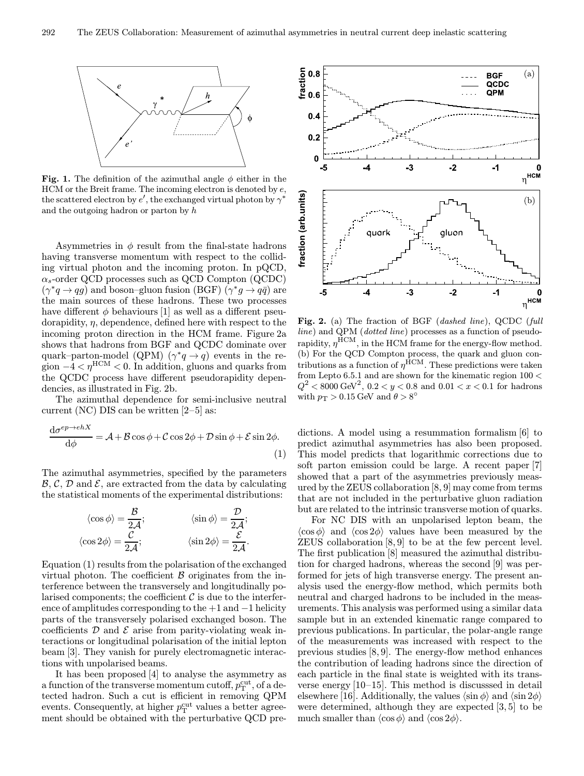

Fig. 1. The definition of the azimuthal angle  $\phi$  either in the HCM or the Breit frame. The incoming electron is denoted by e, the scattered electron by  $e'$ , the exchanged virtual photon by  $\gamma^*$ and the outgoing hadron or parton by h

Asymmetries in  $\phi$  result from the final-state hadrons having transverse momentum with respect to the colliding virtual photon and the incoming proton. In pQCD,  $\alpha_s$ -order QCD processes such as QCD Compton (QCDC)  $(\gamma^*q \to qq)$  and boson–gluon fusion (BGF)  $(\gamma^*q \to q\bar{q})$  are the main sources of these hadrons. These two processes have different  $\phi$  behaviours [1] as well as a different pseudorapidity, η, dependence, defined here with respect to the incoming proton direction in the HCM frame. Figure 2a shows that hadrons from BGF and QCDC dominate over quark–parton-model (QPM) ( $\gamma^* q \to q$ ) events in the region  $-4 < \eta^{\text{HCM}} < 0$ . In addition, gluons and quarks from the QCDC process have different pseudorapidity dependencies, as illustrated in Fig. 2b.

The azimuthal dependence for semi-inclusive neutral current (NC) DIS can be written  $[2-5]$  as:

$$
\frac{d\sigma^{ep \to ehX}}{d\phi} = \mathcal{A} + \mathcal{B}\cos\phi + \mathcal{C}\cos 2\phi + \mathcal{D}\sin\phi + \mathcal{E}\sin 2\phi.
$$
\n(1)

The azimuthal asymmetries, specified by the parameters  $\mathcal{B}, \mathcal{C}, \mathcal{D}$  and  $\mathcal{E}$ , are extracted from the data by calculating the statistical moments of the experimental distributions:

$$
\langle \cos \phi \rangle = \frac{\mathcal{B}}{2\mathcal{A}}; \qquad \qquad \langle \sin \phi \rangle = \frac{\mathcal{D}}{2\mathcal{A}}; \langle \cos 2\phi \rangle = \frac{\mathcal{C}}{2\mathcal{A}}; \qquad \qquad \langle \sin 2\phi \rangle = \frac{\mathcal{E}}{2\mathcal{A}}.
$$

Equation (1) results from the polarisation of the exchanged virtual photon. The coefficient  $\beta$  originates from the interference between the transversely and longitudinally polarised components; the coefficient  $\mathcal C$  is due to the interference of amplitudes corresponding to the  $+1$  and  $-1$  helicity parts of the transversely polarised exchanged boson. The coefficients  $D$  and  $E$  arise from parity-violating weak interactions or longitudinal polarisation of the initial lepton beam [3]. They vanish for purely electromagnetic interactions with unpolarised beams.

It has been proposed [4] to analyse the asymmetry as a function of the transverse momentum cutoff,  $p_T^{\text{cut}}$ , of a detected hadron. Such a cut is efficient in removing QPM events. Consequently, at higher  $p_T^{\rm cut}$  values a better agreement should be obtained with the perturbative QCD pre-



Fig. 2. (a) The fraction of BGF (dashed line), QCDC (full line) and QPM (dotted line) processes as a function of pseudorapidity,  $\eta^{\rm HCM}$ , in the HCM frame for the energy-flow method. (b) For the QCD Compton process, the quark and gluon contributions as a function of  $\eta^{\text{HCM}}$ . These predictions were taken from Lepto 6.5.1 and are shown for the kinematic region 100 <  $Q^2$  < 8000 GeV<sup>2</sup>, 0.2 < y < 0.8 and 0.01 < x < 0.1 for hadrons with  $p_T > 0.15$  GeV and  $\theta > 8^\circ$ 

dictions. A model using a resummation formalism [6] to predict azimuthal asymmetries has also been proposed. This model predicts that logarithmic corrections due to soft parton emission could be large. A recent paper [7] showed that a part of the asymmetries previously measured by the ZEUS collaboration [8, 9] may come from terms that are not included in the perturbative gluon radiation but are related to the intrinsic transverse motion of quarks.

For NC DIS with an unpolarised lepton beam, the  $\langle \cos \phi \rangle$  and  $\langle \cos 2\phi \rangle$  values have been measured by the ZEUS collaboration [8, 9] to be at the few percent level. The first publication [8] measured the azimuthal distribution for charged hadrons, whereas the second [9] was performed for jets of high transverse energy. The present analysis used the energy-flow method, which permits both neutral and charged hadrons to be included in the measurements. This analysis was performed using a similar data sample but in an extended kinematic range compared to previous publications. In particular, the polar-angle range of the measurements was increased with respect to the previous studies [8, 9]. The energy-flow method enhances the contribution of leading hadrons since the direction of each particle in the final state is weighted with its transverse energy [10–15]. This method is discusssed in detail elsewhere [16]. Additionally, the values  $\langle \sin \phi \rangle$  and  $\langle \sin 2\phi \rangle$ were determined, although they are expected [3, 5] to be much smaller than  $\langle \cos \phi \rangle$  and  $\langle \cos 2\phi \rangle$ .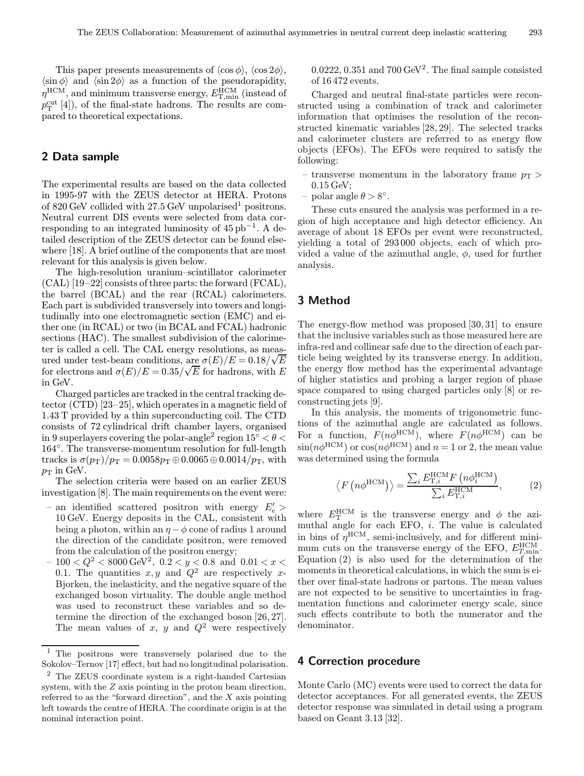This paper presents measurements of  $\langle \cos \phi \rangle$ ,  $\langle \cos 2\phi \rangle$ ,  $\langle \sin \phi \rangle$  and  $\langle \sin 2\phi \rangle$  as a function of the pseudorapidity,  $\eta^\textrm{HCM},$  and minimum transverse energy,  $E_{\textrm{T,min}}^{\textrm{HCM}}$  (instead of  $p_T^{\text{cut}}$  [4]), of the final-state hadrons. The results are compared to theoretical expectations.

#### 2 Data sample

The experimental results are based on the data collected in 1995-97 with the ZEUS detector at HERA. Protons of 820 GeV collided with 27.5 GeV unpolarised<sup>1</sup> positrons. Neutral current DIS events were selected from data corresponding to an integrated luminosity of  $45 \text{ pb}^{-1}$ . A detailed description of the ZEUS detector can be found elsewhere [18]. A brief outline of the components that are most relevant for this analysis is given below.

The high-resolution uranium–scintillator calorimeter (CAL) [19–22] consists of three parts: the forward (FCAL), the barrel (BCAL) and the rear (RCAL) calorimeters. Each part is subdivided transversely into towers and longitudinally into one electromagnetic section (EMC) and either one (in RCAL) or two (in BCAL and FCAL) hadronic sections (HAC). The smallest subdivision of the calorimeter is called a cell. The CAL energy resolutions, as measured under test-beam conditions, are  $\sigma(E)/E = 0.18/\sqrt{E}$ for electrons and  $\sigma(E)/E = 0.35/\sqrt{E}$  for hadrons, with E in GeV.

Charged particles are tracked in the central tracking detector (CTD) [23–25], which operates in a magnetic field of 1.43 T provided by a thin superconducting coil. The CTD consists of 72 cylindrical drift chamber layers, organised in 9 superlayers covering the polar-angle<sup>2</sup> region  $15° < \theta <$ 164◦. The transverse-momentum resolution for full-length tracks is  $\sigma(p_T)/p_T = 0.0058p_T \oplus 0.0065 \oplus 0.0014/p_T$ , with  $p_T$  in GeV.

The selection criteria were based on an earlier ZEUS investigation [8]. The main requirements on the event were:

- an identified scattered positron with energy  $E_e'$  > 10 GeV. Energy deposits in the CAL, consistent with being a photon, within an  $\eta - \phi$  cone of radius 1 around the direction of the candidate positron, were removed from the calculation of the positron energy;
- $100 < Q^2 < 8000 \text{ GeV}^2$ ,  $0.2 < y < 0.8$  and  $0.01 < x <$ 0.1. The quantities  $x, y$  and  $Q^2$  are respectively x-Bjorken, the inelasticity, and the negative square of the exchanged boson virtuality. The double angle method was used to reconstruct these variables and so determine the direction of the exchanged boson [26, 27]. The mean values of x, y and  $Q^2$  were respectively

 $0.0222, 0.351$  and  $700 \,\text{GeV}^2$ . The final sample consisted of 16 472 events.

Charged and neutral final-state particles were reconstructed using a combination of track and calorimeter information that optimises the resolution of the reconstructed kinematic variables [28, 29]. The selected tracks and calorimeter clusters are referred to as energy flow objects (EFOs). The EFOs were required to satisfy the following:

- transverse momentum in the laboratory frame  $p_T$ 0.15 GeV;
- polar angle  $\theta > 8^\circ$ .

These cuts ensured the analysis was performed in a region of high acceptance and high detector efficiency. An average of about 18 EFOs per event were reconstructed, yielding a total of 293 000 objects, each of which provided a value of the azimuthal angle,  $\phi$ , used for further analysis.

#### 3 Method

The energy-flow method was proposed [30, 31] to ensure that the inclusive variables such as those measured here are infra-red and collinear safe due to the direction of each particle being weighted by its transverse energy. In addition, the energy flow method has the experimental advantage of higher statistics and probing a larger region of phase space compared to using charged particles only [8] or reconstructing jets [9].

In this analysis, the moments of trigonometric functions of the azimuthal angle are calculated as follows. For a function,  $F(n\phi^{\text{HCM}})$ , where  $F(n\phi^{\text{HCM}})$  can be  $\sin(n\phi^{\text{HCM}})$  or  $\cos(n\phi^{\text{HCM}})$  and  $n=1$  or 2, the mean value was determined using the formula

$$
\langle F(n\phi^{\text{HCM}})\rangle = \frac{\sum_{i} E_{\text{T},i}^{\text{HCM}} F(n\phi_{i}^{\text{HCM}})}{\sum_{i} E_{\text{T},i}^{\text{HCM}}} ,\qquad(2)
$$

where  $E_{\rm T}^{\rm HCM}$  is the transverse energy and  $\phi$  the azimuthal angle for each EFO,  $i$ . The value is calculated in bins of  $\eta^{\text{HCM}}$ , semi-inclusively, and for different minimum cuts on the transverse energy of the EFO,  $E_{T,\text{min}}^{\text{HCM}}$ . Equation (2) is also used for the determination of the moments in theoretical calculations, in which the sum is either over final-state hadrons or partons. The mean values are not expected to be sensitive to uncertainties in fragmentation functions and calorimeter energy scale, since such effects contribute to both the numerator and the denominator.

#### 4 Correction procedure

Monte Carlo (MC) events were used to correct the data for detector acceptances. For all generated events, the ZEUS detector response was simulated in detail using a program based on Geant 3.13 [32].

<sup>1</sup> The positrons were transversely polarised due to the Sokolov–Ternov [17] effect, but had no longitudinal polarisation.

<sup>2</sup> The ZEUS coordinate system is a right-handed Cartesian system, with the Z axis pointing in the proton beam direction, referred to as the "forward direction", and the  $X$  axis pointing left towards the centre of HERA. The coordinate origin is at the nominal interaction point.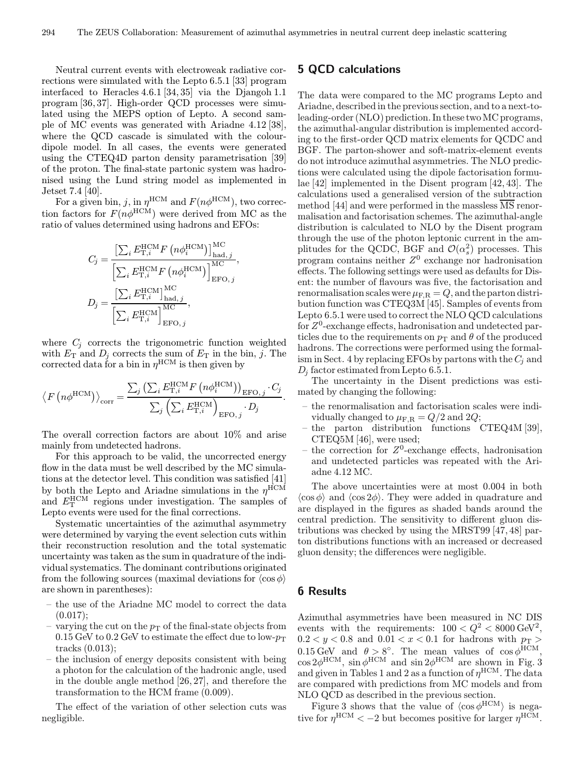Neutral current events with electroweak radiative corrections were simulated with the Lepto 6.5.1 [33] program interfaced to Heracles 4.6.1 [34, 35] via the Djangoh 1.1 program [36, 37]. High-order QCD processes were simulated using the MEPS option of Lepto. A second sample of MC events was generated with Ariadne 4.12 [38], where the QCD cascade is simulated with the colourdipole model. In all cases, the events were generated using the CTEQ4D parton density parametrisation [39] of the proton. The final-state partonic system was hadronised using the Lund string model as implemented in Jetset 7.4 [40].

For a given bin, j, in  $\eta^{\text{HCM}}$  and  $F(n\phi^{\text{HCM}})$ , two correction factors for  $F(n\phi^{\text{HCM}})$  were derived from MC as the ratio of values determined using hadrons and EFOs:

$$
C_j = \frac{\left[\sum_i E_{\text{T},i}^{\text{HCM}} F\left(n\phi_i^{\text{HCM}}\right)\right]_{\text{had},j}^{\text{MC}}}{\left[\sum_i E_{\text{T},i}^{\text{HCM}} F\left(n\phi_i^{\text{HCM}}\right)\right]_{\text{EFO},j}^{\text{MC}}},
$$

$$
D_j = \frac{\left[\sum_i E_{\text{T},i}^{\text{HCM}}\right]_{\text{had},j}^{\text{MC}}}{\left[\sum_i E_{\text{T},i}^{\text{HCM}}\right]_{\text{EFO},j}^{\text{MC}}},
$$

where  $C_i$  corrects the trigonometric function weighted with  $E_T$  and  $D_j$  corrects the sum of  $E_T$  in the bin, j. The corrected data for a bin in  $\eta^{\text{HCM}}$  is then given by

$$
\langle F(n\phi^{\text{HCM}})\rangle_{\text{corr}} = \frac{\sum_{j} (\sum_{i} E_{\text{T},i}^{\text{HCM}} F(n\phi_{i}^{\text{HCM}}))_{\text{EFO},j} \cdot C_{j}}{\sum_{j} (\sum_{i} E_{\text{T},i}^{\text{HCM}})_{\text{EFO},j} \cdot D_{j}}.
$$

The overall correction factors are about 10% and arise mainly from undetected hadrons.

For this approach to be valid, the uncorrected energy flow in the data must be well described by the MC simulations at the detector level. This condition was satisfied [41] by both the Lepto and Ariadne simulations in the  $\eta^{\text{HCM}}$ and  $E_{\rm T}^{\rm HCM}$  regions under investigation. The samples of Lepto events were used for the final corrections.

Systematic uncertainties of the azimuthal asymmetry were determined by varying the event selection cuts within their reconstruction resolution and the total systematic uncertainty was taken as the sum in quadrature of the individual systematics. The dominant contributions originated from the following sources (maximal deviations for  $\langle \cos \phi \rangle$ are shown in parentheses):

- the use of the Ariadne MC model to correct the data  $(0.017);$
- varying the cut on the  $p_T$  of the final-state objects from 0.15 GeV to 0.2 GeV to estimate the effect due to low- $p_T$ tracks (0.013);
- the inclusion of energy deposits consistent with being a photon for the calculation of the hadronic angle, used in the double angle method [26, 27], and therefore the transformation to the HCM frame (0.009).

The effect of the variation of other selection cuts was negligible.

#### 5 QCD calculations

The data were compared to the MC programs Lepto and Ariadne, described in the previous section, and to a next-toleading-order (NLO) prediction. In these twoMC programs, the azimuthal-angular distribution is implemented according to the first-order QCD matrix elements for QCDC and BGF. The parton-shower and soft-matrix-element events do not introduce azimuthal asymmetries. The NLO predictions were calculated using the dipole factorisation formulae [42] implemented in the Disent program [42, 43]. The calculations used a generalised version of the subtraction method [44] and were performed in the massless  $\overline{\text{MS}}$  renormalisation and factorisation schemes. The azimuthal-angle distribution is calculated to NLO by the Disent program through the use of the photon leptonic current in the amplitudes for the QCDC, BGF and  $\mathcal{O}(\alpha_s^2)$  processes. This program contains neither  $Z^0$  exchange nor hadronisation effects. The following settings were used as defaults for Disent: the number of flavours was five, the factorisation and renormalisation scales were  $\mu_{\text{F,R}} = Q$ , and the parton distribution function was CTEQ3M [45]. Samples of events from Lepto 6.5.1 were used to correct the NLO QCD calculations for  $Z^0$ -exchange effects, hadronisation and undetected particles due to the requirements on  $p_T$  and  $\theta$  of the produced hadrons. The corrections were performed using the formalism in Sect. 4 by replacing EFOs by partons with the  $C_i$  and  $D_i$  factor estimated from Lepto 6.5.1.

The uncertainty in the Disent predictions was estimated by changing the following:

- the renormalisation and factorisation scales were individually changed to  $\mu_{\text{F,R}} = Q/2$  and  $2Q$ ;
- the parton distribution functions CTEQ4M [39], CTEQ5M [46], were used;
- the correction for  $Z^0$ -exchange effects, hadronisation and undetected particles was repeated with the Ariadne 4.12 MC.

The above uncertainties were at most 0.004 in both  $\langle \cos \phi \rangle$  and  $\langle \cos 2\phi \rangle$ . They were added in quadrature and are displayed in the figures as shaded bands around the central prediction. The sensitivity to different gluon distributions was checked by using the MRST99 [47, 48] parton distributions functions with an increased or decreased gluon density; the differences were negligible.

#### 6 Results

Azimuthal asymmetries have been measured in NC DIS events with the requirements:  $100 < Q^2 < 8000 \text{ GeV}^2$ ,  $0.2 < y < 0.8$  and  $0.01 < x < 0.1$  for hadrons with  $p<sub>T</sub>$  $0.15 \,\text{GeV}$  and  $\theta > 8^\circ$ . The mean values of  $\cos \phi^{\text{HCM}}$ ,  $\cos 2\phi^{\text{HCM}}$ ,  $\sin \phi^{\text{HCM}}$  and  $\sin 2\phi^{\text{HCM}}$  are shown in Fig. 3 and given in Tables 1 and 2 as a function of  $\eta^{\rm HCM}$ . The data are compared with predictions from MC models and from NLO QCD as described in the previous section.

Figure 3 shows that the value of  $\langle \cos \phi^{\text{HCM}} \rangle$  is negative for  $\eta^{\text{HCM}} < -2$  but becomes positive for larger  $\eta^{\text{HCM}}$ .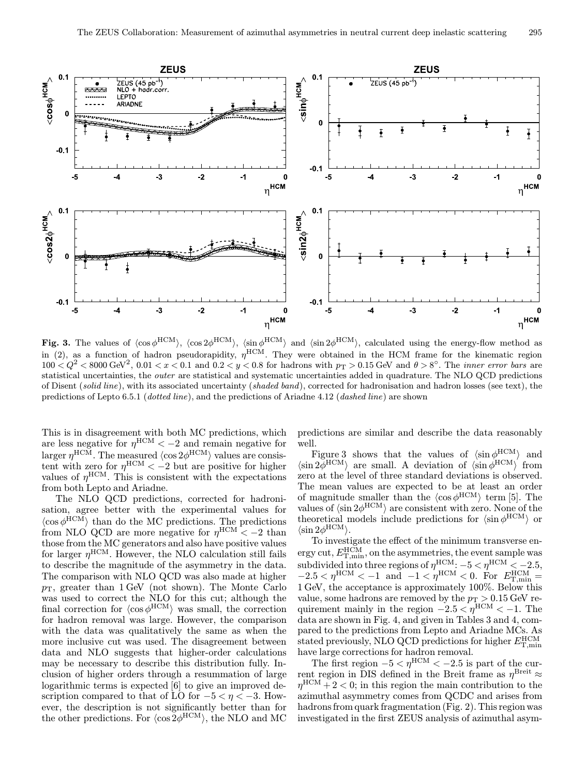

Fig. 3. The values of  $\langle \cos \phi^{HCM} \rangle$ ,  $\langle \cos 2\phi^{HCM} \rangle$ ,  $\langle \sin \phi^{HCM} \rangle$  and  $\langle \sin 2\phi^{HCM} \rangle$ , calculated using the energy-flow method as in (2), as a function of hadron pseudorapidity,  $\eta^{\text{HCM}}$ . They were obtained in the HCM frame for the kinematic region  $100 < Q^2 < 8000$  GeV<sup>2</sup>,  $0.01 < x < 0.1$  and  $0.2 < y < 0.8$  for hadrons with  $p_T > 0.15$  GeV and  $\theta > 8^\circ$ . The *inner error bars* are statistical uncertainties, the outer are statistical and systematic uncertainties added in quadrature. The NLO QCD predictions of Disent (solid line), with its associated uncertainty (shaded band), corrected for hadronisation and hadron losses (see text), the predictions of Lepto 6.5.1 (dotted line), and the predictions of Ariadne 4.12 (dashed line) are shown

This is in disagreement with both MC predictions, which are less negative for  $\eta^{\text{HCM}} < -2$  and remain negative for larger  $\eta^{\rm HCM}$ . The measured  $\langle \cos 2 \phi^{\rm HCM} \rangle$  values are consistent with zero for  $\eta^{\text{HCM}} < -2$  but are positive for higher values of  $\eta^{\text{HCM}}$ . This is consistent with the expectations from both Lepto and Ariadne.

The NLO QCD predictions, corrected for hadronisation, agree better with the experimental values for  $\langle \cos \phi^{\text{HCM}} \rangle$  than do the MC predictions. The predictions from NLO QCD are more negative for  $\eta^{\text{HCM}} < -2$  than those from the MC generators and also have positive values for larger  $\eta^{\text{HCM}}$ . However, the NLO calculation still fails to describe the magnitude of the asymmetry in the data. The comparison with NLO QCD was also made at higher  $p_{\rm T}$ , greater than 1 GeV (not shown). The Monte Carlo was used to correct the NLO for this cut; although the final correction for  $\langle \cos \phi^{\text{HCM}} \rangle$  was small, the correction for hadron removal was large. However, the comparison with the data was qualitatively the same as when the more inclusive cut was used. The disagreement between data and NLO suggests that higher-order calculations may be necessary to describe this distribution fully. Inclusion of higher orders through a resummation of large logarithmic terms is expected [6] to give an improved description compared to that of LO for  $-5 < \eta < -3$ . However, the description is not significantly better than for the other predictions. For  $\langle \cos 2\phi^{HCM} \rangle$ , the NLO and MC

predictions are similar and describe the data reasonably well.

Figure 3 shows that the values of  $\langle \sin \phi^{\text{HCM}} \rangle$  and  $\langle \sin 2\phi^{\text{HCM}} \rangle$  are small. A deviation of  $\langle \sin \phi^{\text{HCM}} \rangle$  from zero at the level of three standard deviations is observed. The mean values are expected to be at least an order of magnitude smaller than the  $\langle \cos \phi^{\text{HCM}} \rangle$  term [5]. The values of  $\langle \sin 2\phi^{\rm HCM} \rangle$  are consistent with zero. None of the theoretical models include predictions for  $\langle \sin \phi^{\text{HCM}} \rangle$  or  $\langle \sin 2\phi^{\rm HCM} \rangle$ .

To investigate the effect of the minimum transverse en- $\text{ergy cut}, E_{\text{T,min}}^{\text{HCM}}, \text{on the asymmetries, the event sample was}$ subdivided into three regions of  $\eta^{\text{HCM}}$ :  $-5 < \eta^{\text{HCM}} < -2.5$ ,  $-2.5 < \eta^{\text{HCM}} < -1 \text{ and } -1 < \eta^{\text{HCM}} < 0. \text{ For } E_{\text{T,min}}^{\text{HCM}} =$ 1 GeV, the acceptance is approximately 100%. Below this value, some hadrons are removed by the  $p_T > 0.15$  GeV requirement mainly in the region  $-2.5 < \eta^{\text{HCM}} < -1$ . The data are shown in Fig. 4, and given in Tables 3 and 4, compared to the predictions from Lepto and Ariadne MCs. As stated previously, NLO QCD predictions for higher  $E_{\rm T,min}^{\rm HCM}$ have large corrections for hadron removal.

The first region  $-5 < \eta^{\text{HCM}} < -2.5$  is part of the current region in DIS defined in the Breit frame as  $\eta^{\text{Breit}} \approx$  $\eta^{\text{HCM}} + 2 < 0$ ; in this region the main contribution to the azimuthal asymmetry comes from QCDC and arises from hadrons from quark fragmentation (Fig. 2). This region was investigated in the first ZEUS analysis of azimuthal asym-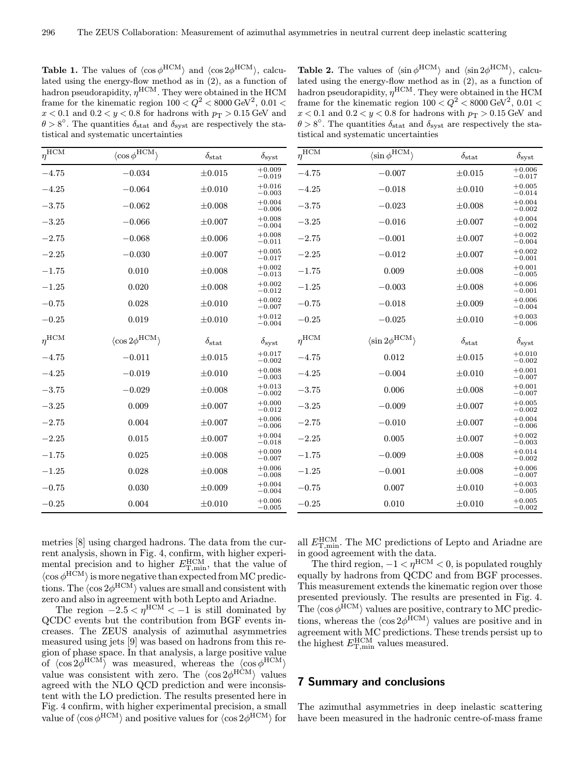**Table 1.** The values of  $\langle \cos \phi^{HCM} \rangle$  and  $\langle \cos 2\phi^{HCM} \rangle$ , calculated using the energy-flow method as in (2), as a function of hadron pseudorapidity,  $\eta^{\text{HCM}}$ . They were obtained in the HCM frame for the kinematic region  $100 < Q^2 < 8000$  GeV<sup>2</sup>,  $0.01 <$  $x < 0.1$  and  $0.2 < y < 0.8$  for hadrons with  $p<sub>T</sub> > 0.15$  GeV and  $\theta > 8^\circ$ . The quantities  $\delta_{\text{stat}}$  and  $\delta_{\text{syst}}$  are respectively the statistical and systematic uncertainties

**Table 2.** The values of  $\langle \sin \phi^{HCM} \rangle$  and  $\langle \sin 2\phi^{HCM} \rangle$ , calculated using the energy-flow method as in (2), as a function of hadron pseudorapidity,  $\eta^{\text{HCM}}$ . They were obtained in the HCM frame for the kinematic region  $100 < Q^2 < 8000$  GeV<sup>2</sup>,  $0.01 <$  $x < 0.1$  and  $0.2 < y < 0.8$  for hadrons with  $p<sub>T</sub> > 0.15$  GeV and  $\theta > 8^\circ$ . The quantities  $\delta_{\text{stat}}$  and  $\delta_{\text{syst}}$  are respectively the statistical and systematic uncertainties

| $\eta^{\rm HCM}$ | $\langle \cos\phi^{\rm H \overline{CM}} \rangle$ | $\delta_{\rm stat}$ | $\delta_{\rm syst}$  | $\eta^{\rm HCM}$ | $\langle \sin \phi^{\rm H \overline{CM}} \rangle$ | $\delta_{\rm stat}$ | $\delta_{\rm syst}$  |
|------------------|--------------------------------------------------|---------------------|----------------------|------------------|---------------------------------------------------|---------------------|----------------------|
| $-4.75$          | $-0.034$                                         | $\pm 0.015$         | $+0.009$<br>$-0.019$ | $-4.75$          | $-0.007$                                          | $\pm 0.015$         | $+0.006$<br>$-0.017$ |
| $-4.25$          | $-0.064$                                         | $\pm 0.010$         | $+0.016$<br>$-0.003$ | $-4.25$          | $-0.018$                                          | $\pm 0.010$         | $+0.005$<br>$-0.014$ |
| $-3.75$          | $-0.062$                                         | $\pm 0.008$         | $+0.004$<br>$-0.006$ | $-3.75$          | $-0.023$                                          | $\pm 0.008$         | $+0.004$<br>$-0.002$ |
| $-3.25$          | $-0.066$                                         | $\pm 0.007$         | $+0.008$<br>$-0.004$ | $-3.25$          | $-0.016$                                          | $\pm 0.007$         | $+0.004$<br>$-0.002$ |
| $-2.75$          | $-0.068$                                         | $\pm 0.006$         | $+0.008$<br>$-0.011$ | $-2.75$          | $-0.001$                                          | $\pm 0.007$         | $+0.002$<br>$-0.004$ |
| $-2.25$          | $-0.030$                                         | $\pm 0.007$         | $+0.005$<br>$-0.017$ | $-2.25$          | $-0.012$                                          | $\pm 0.007$         | $+0.002$<br>$-0.001$ |
| $-1.75$          | 0.010                                            | $\pm 0.008$         | $+0.002$<br>$-0.013$ | $-1.75$          | 0.009                                             | $\pm 0.008$         | $+0.001$<br>$-0.005$ |
| $-1.25$          | 0.020                                            | $\pm 0.008$         | $+0.002$<br>$-0.012$ | $-1.25$          | $-0.003$                                          | $\pm 0.008$         | $+0.006$<br>$-0.001$ |
| $-0.75$          | 0.028                                            | $\pm 0.010$         | $+0.002$<br>$-0.007$ | $-0.75$          | $-0.018$                                          | $\pm 0.009$         | $+0.006$<br>$-0.004$ |
| $-0.25$          | 0.019                                            | $\pm 0.010$         | $+0.012$<br>$-0.004$ | $-0.25$          | $-0.025$                                          | $\pm 0.010$         | $+0.003$<br>$-0.006$ |
| $n^{\text{HCM}}$ | $\langle \cos 2\phi^{\rm HCM} \rangle$           | $\delta_{\rm stat}$ | $\delta_{\rm syst}$  | $\eta^{\rm HCM}$ | $\langle \sin 2\phi^{\rm HCM} \rangle$            | $\delta_{\rm stat}$ | $\delta_{\rm syst}$  |
| $-4.75$          | $-0.011$                                         | $\pm 0.015$         | $+0.017$<br>$-0.002$ | $-4.75$          | 0.012                                             | $\pm 0.015$         | $+0.010$<br>$-0.002$ |
| $-4.25$          | $-0.019$                                         | $\pm 0.010$         | $+0.008$<br>$-0.003$ | $-4.25$          | $-0.004$                                          | $\pm 0.010$         | $+0.001$<br>$-0.007$ |
| $-3.75$          | $-0.029$                                         | $\pm 0.008$         | $+0.013$<br>$-0.002$ | $-3.75$          | 0.006                                             | $\pm 0.008$         | $+0.001$<br>$-0.007$ |
| $-3.25$          | 0.009                                            | $\pm 0.007$         | $+0.000$<br>$-0.012$ | $-3.25$          | $-0.009$                                          | $\pm 0.007$         | $+0.005$<br>$-0.002$ |
| $-2.75$          | 0.004                                            | $\pm 0.007$         | $+0.006$<br>$-0.006$ | $-2.75$          | $-0.010$                                          | $\pm 0.007$         | $+0.004$<br>$-0.006$ |
| $-2.25$          | 0.015                                            | $\pm 0.007$         | $+0.004$<br>$-0.018$ | $-2.25$          | 0.005                                             | $\pm 0.007$         | $+0.002$<br>$-0.003$ |
| $-1.75$          | 0.025                                            | $\pm 0.008$         | $+0.009$<br>$-0.007$ | $-1.75$          | $-0.009$                                          | $\pm 0.008$         | $+0.014$<br>$-0.002$ |
| $-1.25$          | 0.028                                            | $\pm 0.008$         | $+0.006$<br>$-0.008$ | $-1.25$          | $-0.001$                                          | $\pm 0.008$         | $+0.006$<br>$-0.007$ |
| $-0.75$          | 0.030                                            | $\pm 0.009$         | $+0.004$<br>$-0.004$ | $-0.75$          | 0.007                                             | $\pm 0.010$         | $+0.003$<br>$-0.005$ |
| $-0.25$          | 0.004                                            | $\pm 0.010$         | $+0.006$<br>$-0.005$ | $-0.25$          | 0.010                                             | $\pm 0.010$         | $+0.005$<br>$-0.002$ |

metries [8] using charged hadrons. The data from the current analysis, shown in Fig. 4, confirm, with higher experimental precision and to higher  $E_{\text{T,min}}^{\text{HCM}}$ , that the value of  $\langle \cos \phi^{\rm HCM} \rangle$  is more negative than expected from MC predictions. The  $\langle \cos 2\phi^{\rm HCM} \rangle$  values are small and consistent with zero and also in agreement with both Lepto and Ariadne.

The region  $-2.5 < \eta^{\text{HCM}} < -1$  is still dominated by QCDC events but the contribution from BGF events increases. The ZEUS analysis of azimuthal asymmetries measured using jets [9] was based on hadrons from this region of phase space. In that analysis, a large positive value of  $\langle \cos 2\phi^{\text{HCM}} \rangle$  was measured, whereas the  $\langle \cos \phi^{\text{HCM}} \rangle$ value was consistent with zero. The  $\langle \cos 2\phi^{\text{HCM}} \rangle$  values agreed with the NLO QCD prediction and were inconsistent with the LO prediction. The results presented here in Fig. 4 confirm, with higher experimental precision, a small value of  $\langle \cos \phi^{\rm HCM} \rangle$  and positive values for  $\langle \cos 2\phi^{\rm HCM} \rangle$  for

all  $E_{\text{T,min}}^{\text{HCM}}$ . The MC predictions of Lepto and Ariadne are in good agreement with the data.

The third region,  $-1 < \eta^{\text{HCM}} < 0$ , is populated roughly equally by hadrons from QCDC and from BGF processes. This measurement extends the kinematic region over those presented previously. The results are presented in Fig. 4. The  $\langle \cos \phi^{\rm HCM} \rangle$  values are positive, contrary to MC predictions, whereas the  $\langle \cos 2\phi^{\text{HCM}} \rangle$  values are positive and in agreement with MC predictions. These trends persist up to the highest  $E_{\text{T,min}}^{\text{HCM}}$  values measured.

#### 7 Summary and conclusions

The azimuthal asymmetries in deep inelastic scattering have been measured in the hadronic centre-of-mass frame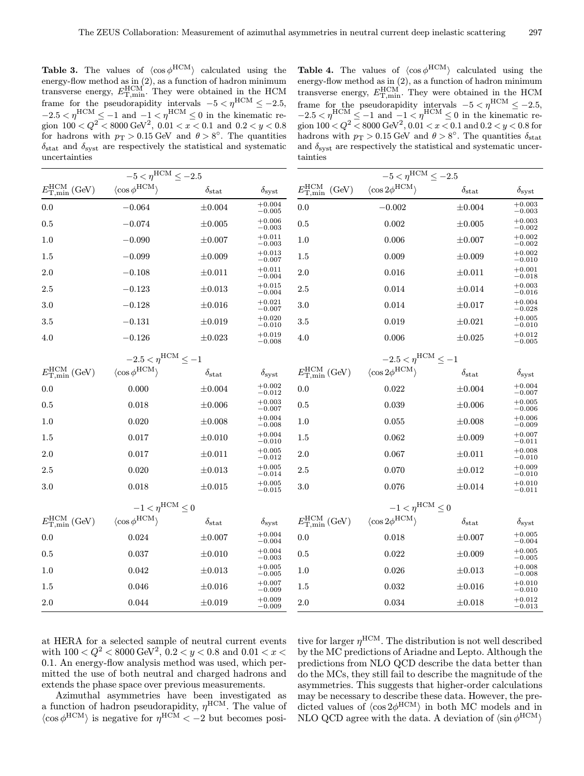**Table 3.** The values of  $\langle \cos \phi^{\text{HCM}} \rangle$  calculated using the energy-flow method as in (2), as a function of hadron minimum transverse energy,  $E_{\text{T,min}}^{\text{HCM}}$ . They were obtained in the HCM frame for the pseudorapidity intervals  $-5 < \eta^{\text{HCM}} \leq -2.5$ ,  $-2.5 < \eta^{\text{HCM}} \leq -1$  and  $-1 < \eta^{\text{HCM}} \leq 0$  in the kinematic region  $100 < Q^2 < 8000 \text{ GeV}^2$ ,  $0.01 < x < 0.1$  and  $0.2 < y < 0.8$ for hadrons with  $p_T > 0.15$  GeV and  $\theta > 8^\circ$ . The quantities  $\delta_{\text{stat}}$  and  $\delta_{\text{syst}}$  are respectively the statistical and systematic uncertainties

**Table 4.** The values of  $\langle \cos \phi^{\text{HCM}} \rangle$  calculated using the energy-flow method as in (2), as a function of hadron minimum transverse energy,  $E_{\text{T,min}}^{\text{HCM}}$ . They were obtained in the HCM frame for the pseudorapidity intervals  $-5 < \eta^{\text{HCM}} \leq -2.5$ ,  $-2.5 < \eta^{\text{HCM}} \le -1$  and  $-1 < \eta^{\text{HCM}} \le 0$  in the kinematic region  $100 < Q^2 < 8000 \text{ GeV}^2$ ,  $0.01 < x < 0.1$  and  $0.2 < y < 0.8$  for hadrons with  $p_T > 0.15$  GeV and  $\theta > 8^\circ$ . The quantities  $\delta_{stat}$ and  $\delta_{\text{svst}}$  are respectively the statistical and systematic uncertainties

| $-5 < \eta^{\text{HCM}} \leq -2.5$                          |                                       |                        |                           | $-5 < \eta^{\rm HCM} < -2.5$                                 |                                         |                     |                      |  |
|-------------------------------------------------------------|---------------------------------------|------------------------|---------------------------|--------------------------------------------------------------|-----------------------------------------|---------------------|----------------------|--|
| $E_{\mathrm{T, min}}^{\mathrm{HCM}}\left(\text{GeV}\right)$ | $\langle \cos \phi^{\rm HCM} \rangle$ | $\delta_{\text{stat}}$ | $\delta_{\rm syst}$       | $E_{\rm T,min}^{\rm HCM}$<br>(GeV)                           | $\langle \cos 2\phi^{\rm HCM} \rangle$  | $\delta_{\rm stat}$ | $\delta_{\rm syst}$  |  |
| 0.0                                                         | $-0.064$                              | $\pm 0.004$            | $+0.004$<br>$-0.005$      | 0.0                                                          | $-0.002$                                | $\pm 0.004$         | $+0.003$<br>$-0.003$ |  |
| $\rm 0.5$                                                   | $-0.074$                              | $\pm 0.005$            | $+0.006$<br>$-0.003$      | $0.5\,$                                                      | 0.002                                   | $\pm 0.005$         | $+0.003$<br>$-0.002$ |  |
| 1.0                                                         | $-0.090$                              | $\pm 0.007$            | $+0.011$<br>$-0.003$      | 1.0                                                          | 0.006                                   | $\pm 0.007$         | $+0.002$<br>$-0.002$ |  |
| 1.5                                                         | $-0.099$                              | $\pm 0.009$            | $+0.013$<br>$-0.007$      | 1.5                                                          | 0.009                                   | $\pm 0.009$         | $+0.002$<br>$-0.010$ |  |
| $2.0\,$                                                     | $-0.108$                              | $\pm 0.011$            | $+0.011$<br>$-0.004$      | 2.0                                                          | 0.016                                   | $\pm 0.011$         | $+0.001$<br>$-0.018$ |  |
| 2.5                                                         | $-0.123$                              | $\pm 0.013$            | $+0.015$<br>$-0.004$      | 2.5                                                          | 0.014                                   | $\pm 0.014$         | $+0.003$<br>$-0.016$ |  |
| 3.0                                                         | $-0.128$                              | $\pm 0.016$            | $+0.021$<br>$-0.007$      | 3.0                                                          | 0.014                                   | $\pm 0.017$         | $+0.004$<br>$-0.028$ |  |
| 3.5                                                         | $-0.131$                              | $\pm 0.019$            | $+0.020$<br>$-0.010$      | 3.5                                                          | 0.019                                   | $\pm 0.021$         | $+0.005$<br>$-0.010$ |  |
| 4.0                                                         | $-0.126$                              | $\pm 0.023$            | $^{+0.019}_{-0.008}$      | 4.0                                                          | 0.006                                   | $\pm 0.025$         | $+0.012$<br>$-0.005$ |  |
| $-2.5 < \eta^{\rm HCM} < -1$                                |                                       |                        |                           | $-2.5 < \eta^{\rm HCM} < -1$                                 |                                         |                     |                      |  |
| $E_{\mathrm{T,min}}^{\mathrm{HCM}}\left(\text{GeV}\right)$  | $\langle \cos \phi^{\rm HCM} \rangle$ | $\delta_{\rm stat}$    | $\delta_{\rm syst}$       | $E_{\mathrm{T,min}}^{\mathrm{HCM}}\left(\textrm{GeV}\right)$ | $\langle \cos 2 \phi^{\rm HCM} \rangle$ | $\delta_{\rm stat}$ | $\delta_{\rm syst}$  |  |
| $0.0\,$                                                     | 0.000                                 | $\pm 0.004$            | $+0.002$<br>$-0.012$      | $0.0\,$                                                      | 0.022                                   | $\pm 0.004$         | $+0.004$<br>$-0.007$ |  |
| $\rm 0.5$                                                   | 0.018                                 | $\pm 0.006$            | $+0.003$<br>$-0.007$      | $0.5\,$                                                      | 0.039                                   | $\pm 0.006$         | $+0.005$<br>$-0.006$ |  |
| 1.0                                                         | 0.020                                 | $\pm 0.008$            | $+0.004$<br>$-0.008$      | 1.0                                                          | 0.055                                   | $\pm 0.008$         | $+0.006$<br>$-0.009$ |  |
| 1.5                                                         | 0.017                                 | $\pm 0.010$            | $+0.004$<br>$-0.010$      | 1.5                                                          | 0.062                                   | $\pm 0.009$         | $+0.007$<br>$-0.011$ |  |
| 2.0                                                         | 0.017                                 | $\pm 0.011$            | $+0.005$<br>$-0.012$      | 2.0                                                          | 0.067                                   | $\pm 0.011$         | $+0.008$<br>$-0.010$ |  |
| 2.5                                                         | 0.020                                 | $\pm 0.013$            | $+0.005$<br>$-0.014$      | 2.5                                                          | 0.070                                   | $\pm 0.012$         | $+0.009$<br>$-0.010$ |  |
| $3.0\,$                                                     | 0.018                                 | $\pm 0.015$            | $+0.005$<br>$-0.015$      | 3.0                                                          | 0.076                                   | $\pm 0.014$         | $+0.010$<br>$-0.011$ |  |
|                                                             | $-1 < \eta^{\text{HCM}} < 0$          |                        | $-1 < \eta^{\rm HCM} < 0$ |                                                              |                                         |                     |                      |  |
| $E_{\mathrm{T, min}}^{\mathrm{HCM}}\left(\text{GeV}\right)$ | $\langle \cos \phi^{\rm HCM} \rangle$ | $\delta_{\rm stat}$    | $\delta_{\rm syst}$       | $E_{\mathrm{T,min}}^{\mathrm{HCM}}\left(\textrm{GeV}\right)$ | $\langle \cos 2\phi^{\rm HCM} \rangle$  | $\delta_{\rm stat}$ | $\delta_{\rm syst}$  |  |
| 0.0                                                         | 0.024                                 | $\pm 0.007$            | $+0.004$<br>$-0.004$      | 0.0                                                          | 0.018                                   | $\pm 0.007$         | $+0.005$<br>$-0.004$ |  |
| 0.5                                                         | 0.037                                 | $\pm 0.010$            | $+0.004$<br>$-0.003$      | 0.5                                                          | 0.022                                   | $\pm 0.009$         | $+0.005$<br>$-0.005$ |  |
| 1.0                                                         | 0.042                                 | $\pm 0.013$            | $+0.005$<br>$-0.005$      | 1.0                                                          | 0.026                                   | $\pm 0.013$         | $+0.008$<br>$-0.008$ |  |
| 1.5                                                         | 0.046                                 | $\pm 0.016$            | $+0.007$<br>$-0.009$      | 1.5                                                          | 0.032                                   | $\pm 0.016$         | $+0.010$<br>$-0.010$ |  |
| 2.0                                                         | 0.044                                 | $\pm 0.019$            | $+0.009$<br>$-0.009$      | 2.0                                                          | 0.034                                   | $\pm 0.018$         | $+0.012$<br>$-0.013$ |  |

at HERA for a selected sample of neutral current events with  $100 < Q^2 < 8000 \,\text{GeV}^2$ ,  $0.2 < y < 0.8$  and  $0.01 < x <$ 0.1. An energy-flow analysis method was used, which permitted the use of both neutral and charged hadrons and extends the phase space over previous measurements.

Azimuthal asymmetries have been investigated as a function of hadron pseudorapidity,  $\eta^{\text{HCM}}$ . The value of  $\langle \cos \phi^{\text{HCM}} \rangle$  is negative for  $\eta^{\text{HCM}} < -2$  but becomes positive for larger  $\eta^{\text{HCM}}$ . The distribution is not well described by the MC predictions of Ariadne and Lepto. Although the predictions from NLO QCD describe the data better than do the MCs, they still fail to describe the magnitude of the asymmetries. This suggests that higher-order calculations may be necessary to describe these data. However, the predicted values of  $\langle \cos 2\phi^{\text{HCM}} \rangle$  in both MC models and in NLO QCD agree with the data. A deviation of  $\langle \sin \phi^{HCM} \rangle$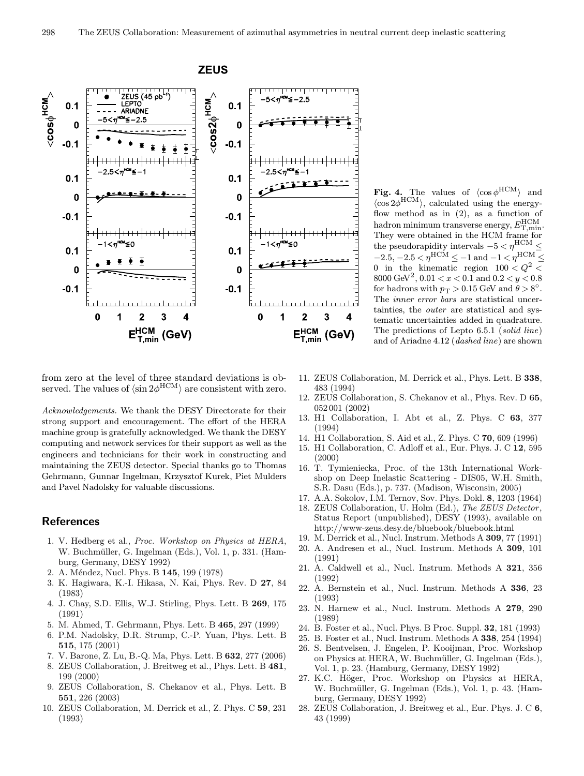

Fig. 4. The values of  $\langle \cos \phi^{\rm HCM} \rangle$  and  $\langle \cos 2\phi^{\text{HCM}} \rangle$ , calculated using the energyflow method as in (2), as a function of hadron minimum transverse energy,  $E_{\rm T,min}^{\rm HCM}.$ They were obtained in the HCM frame for the pseudorapidity intervals  $-5 < \eta^{\rm HCM} <$  $-2.5, -2.5 < \eta^{\rm HCM} \le -1$  and  $-1 < \eta^{\rm HCM} \le$ 0 in the kinematic region  $100 < Q^2$  $8000 \; \mbox{GeV}^2, \, 0.01 < x < 0.1$  and  $0.2 < y < 0.8$ for hadrons with  $p_T > 0.15$  GeV and  $\theta > 8^\circ$ . The inner error bars are statistical uncertainties, the outer are statistical and systematic uncertainties added in quadrature. The predictions of Lepto 6.5.1 (solid line) and of Ariadne 4.12 (dashed line) are shown

from zero at the level of three standard deviations is observed. The values of  $\langle \sin 2\phi^{\rm HCM} \rangle$  are consistent with zero.

Acknowledgements. We thank the DESY Directorate for their strong support and encouragement. The effort of the HERA machine group is gratefully acknowledged. We thank the DESY computing and network services for their support as well as the engineers and technicians for their work in constructing and maintaining the ZEUS detector. Special thanks go to Thomas Gehrmann, Gunnar Ingelman, Krzysztof Kurek, Piet Mulders and Pavel Nadolsky for valuable discussions.

#### **References**

- 1. V. Hedberg et al., Proc. Workshop on Physics at HERA, W. Buchmüller, G. Ingelman (Eds.), Vol. 1, p. 331. (Hamburg, Germany, DESY 1992)
- 2. A. Méndez, Nucl. Phys. B 145, 199 (1978)
- 3. K. Hagiwara, K.-I. Hikasa, N. Kai, Phys. Rev. D 27, 84 (1983)
- 4. J. Chay, S.D. Ellis, W.J. Stirling, Phys. Lett. B 269, 175 (1991)
- 5. M. Ahmed, T. Gehrmann, Phys. Lett. B 465, 297 (1999)
- 6. P.M. Nadolsky, D.R. Strump, C.-P. Yuan, Phys. Lett. B 515, 175 (2001)
- 7. V. Barone, Z. Lu, B.-Q. Ma, Phys. Lett. B 632, 277 (2006)
- 8. ZEUS Collaboration, J. Breitweg et al., Phys. Lett. B 481, 199 (2000)
- 9. ZEUS Collaboration, S. Chekanov et al., Phys. Lett. B 551, 226 (2003)
- 10. ZEUS Collaboration, M. Derrick et al., Z. Phys. C 59, 231 (1993)
- 11. ZEUS Collaboration, M. Derrick et al., Phys. Lett. B 338, 483 (1994)
- 12. ZEUS Collaboration, S. Chekanov et al., Phys. Rev. D 65, 052 001 (2002)
- 13. H1 Collaboration, I. Abt et al., Z. Phys. C 63, 377 (1994)
- 14. H1 Collaboration, S. Aid et al., Z. Phys. C 70, 609 (1996)
- 15. H1 Collaboration, C. Adloff et al., Eur. Phys. J. C 12, 595 (2000)
- 16. T. Tymieniecka, Proc. of the 13th International Workshop on Deep Inelastic Scattering - DIS05, W.H. Smith, S.R. Dasu (Eds.), p. 737. (Madison, Wisconsin, 2005)
- 17. A.A. Sokolov, I.M. Ternov, Sov. Phys. Dokl. 8, 1203 (1964)
- 18. ZEUS Collaboration, U. Holm (Ed.), The ZEUS Detector, Status Report (unpublished), DESY (1993), available on http://www-zeus.desy.de/bluebook/bluebook.html
- 19. M. Derrick et al., Nucl. Instrum. Methods A 309, 77 (1991)
- 20. A. Andresen et al., Nucl. Instrum. Methods A 309, 101 (1991)
- 21. A. Caldwell et al., Nucl. Instrum. Methods A 321, 356 (1992)
- 22. A. Bernstein et al., Nucl. Instrum. Methods A 336, 23 (1993)
- 23. N. Harnew et al., Nucl. Instrum. Methods A 279, 290 (1989)
- 24. B. Foster et al., Nucl. Phys. B Proc. Suppl. 32, 181 (1993)
- 25. B. Foster et al., Nucl. Instrum. Methods A 338, 254 (1994)
- 26. S. Bentvelsen, J. Engelen, P. Kooijman, Proc. Workshop on Physics at HERA, W. Buchmüller, G. Ingelman (Eds.), Vol. 1, p. 23. (Hamburg, Germany, DESY 1992)
- 27. K.C. Höger, Proc. Workshop on Physics at HERA, W. Buchmüller, G. Ingelman (Eds.), Vol. 1, p. 43. (Hamburg, Germany, DESY 1992)
- 28. ZEUS Collaboration, J. Breitweg et al., Eur. Phys. J. C 6, 43 (1999)